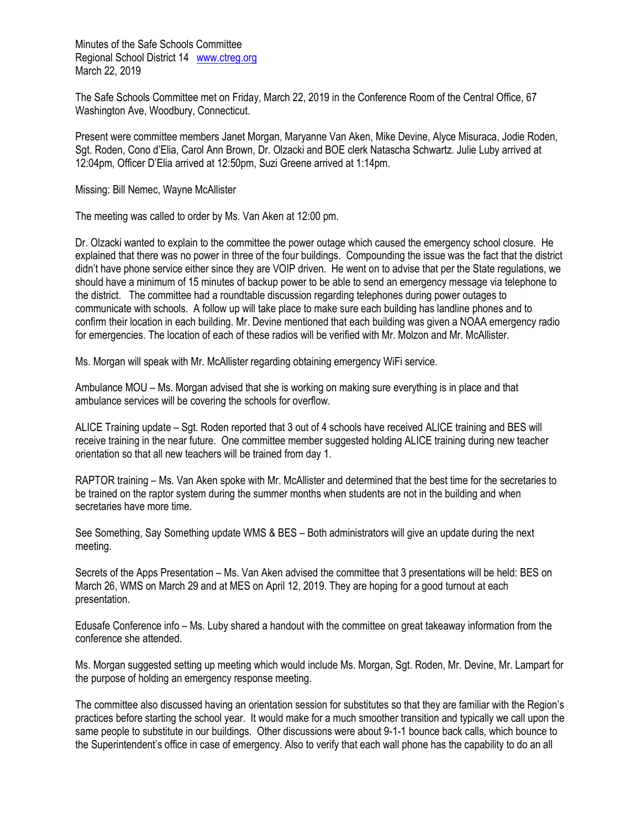Minutes of the Safe Schools Committee Regional School District 14 [www.ctreg.org](http://www.ctreg.org/) March 22, 2019

The Safe Schools Committee met on Friday, March 22, 2019 in the Conference Room of the Central Office, 67 Washington Ave, Woodbury, Connecticut.

Present were committee members Janet Morgan, Maryanne Van Aken, Mike Devine, Alyce Misuraca, Jodie Roden, Sgt. Roden, Cono d'Elia, Carol Ann Brown, Dr. Olzacki and BOE clerk Natascha Schwartz. Julie Luby arrived at 12:04pm, Officer D'Elia arrived at 12:50pm, Suzi Greene arrived at 1:14pm.

Missing: Bill Nemec, Wayne McAllister

The meeting was called to order by Ms. Van Aken at 12:00 pm.

Dr. Olzacki wanted to explain to the committee the power outage which caused the emergency school closure. He explained that there was no power in three of the four buildings. Compounding the issue was the fact that the district didn't have phone service either since they are VOIP driven. He went on to advise that per the State regulations, we should have a minimum of 15 minutes of backup power to be able to send an emergency message via telephone to the district. The committee had a roundtable discussion regarding telephones during power outages to communicate with schools. A follow up will take place to make sure each building has landline phones and to confirm their location in each building. Mr. Devine mentioned that each building was given a NOAA emergency radio for emergencies. The location of each of these radios will be verified with Mr. Molzon and Mr. McAllister.

Ms. Morgan will speak with Mr. McAllister regarding obtaining emergency WiFi service.

Ambulance MOU – Ms. Morgan advised that she is working on making sure everything is in place and that ambulance services will be covering the schools for overflow.

ALICE Training update – Sgt. Roden reported that 3 out of 4 schools have received ALICE training and BES will receive training in the near future. One committee member suggested holding ALICE training during new teacher orientation so that all new teachers will be trained from day 1.

RAPTOR training – Ms. Van Aken spoke with Mr. McAllister and determined that the best time for the secretaries to be trained on the raptor system during the summer months when students are not in the building and when secretaries have more time.

See Something, Say Something update WMS & BES – Both administrators will give an update during the next meeting.

Secrets of the Apps Presentation – Ms. Van Aken advised the committee that 3 presentations will be held: BES on March 26, WMS on March 29 and at MES on April 12, 2019. They are hoping for a good turnout at each presentation.

Edusafe Conference info – Ms. Luby shared a handout with the committee on great takeaway information from the conference she attended.

Ms. Morgan suggested setting up meeting which would include Ms. Morgan, Sgt. Roden, Mr. Devine, Mr. Lampart for the purpose of holding an emergency response meeting.

The committee also discussed having an orientation session for substitutes so that they are familiar with the Region's practices before starting the school year. It would make for a much smoother transition and typically we call upon the same people to substitute in our buildings. Other discussions were about 9-1-1 bounce back calls, which bounce to the Superintendent's office in case of emergency. Also to verify that each wall phone has the capability to do an all